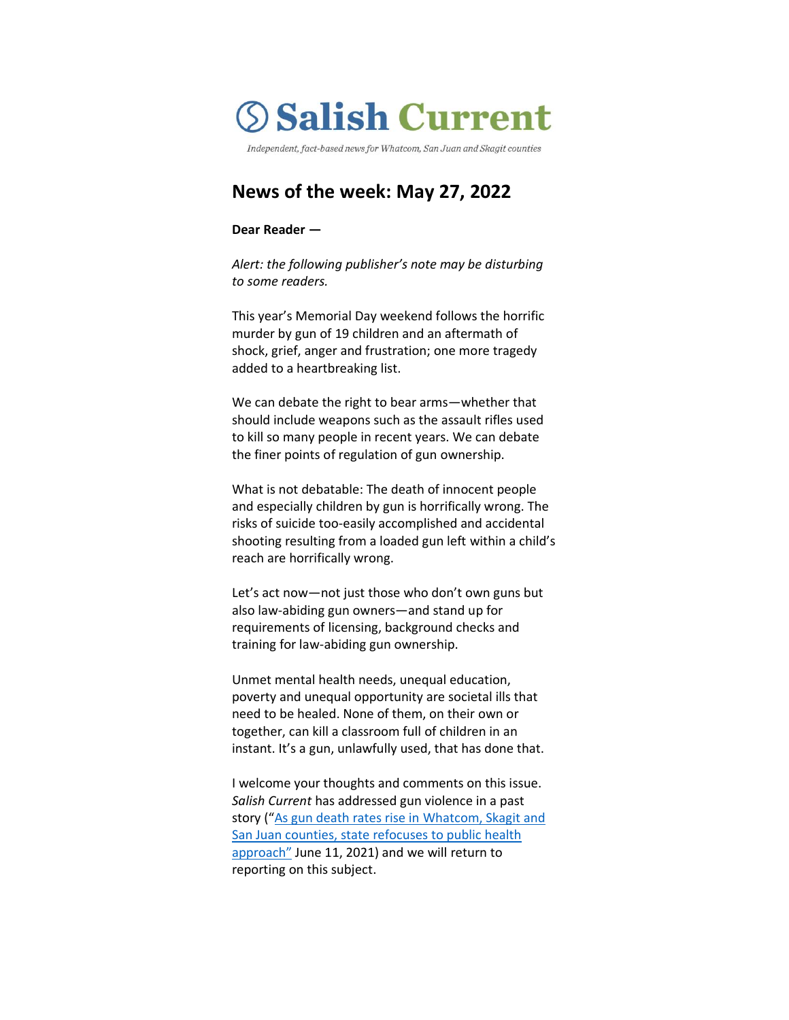

Independent, fact-based news for Whatcom, San Juan and Skagit counties

# **News of the week: May 27, 2022**

## **Dear Reader —**

*Alert: the following publisher's note may be disturbing to some readers.*

This year's Memorial Day weekend follows the horrific murder by gun of 19 children and an aftermath of shock, grief, anger and frustration; one more tragedy added to a heartbreaking list.

We can debate the right to bear arms—whether that should include weapons such as the assault rifles used to kill so many people in recent years. We can debate the finer points of regulation of gun ownership.

What is not debatable: The death of innocent people and especially children by gun is horrifically wrong. The risks of suicide too-easily accomplished and accidental shooting resulting from a loaded gun left within a child's reach are horrifically wrong.

Let's act now—not just those who don't own guns but also law-abiding gun owners—and stand up for requirements of licensing, background checks and training for law-abiding gun ownership.

Unmet mental health needs, unequal education, poverty and unequal opportunity are societal ills that need to be healed. None of them, on their own or together, can kill a classroom full of children in an instant. It's a gun, unlawfully used, that has done that.

I welcome your thoughts and comments on this issue. *Salish Current* has addressed gun violence in a past story ("[As gun death rates rise in Whatcom, Skagit and](https://salish-current.org/2021/06/11/as-gun-death-rates-rise-in-whatcom-skagit-and-san-juan-counties-state-refocuses-to-public-health-approach/)  [San Juan counties, state refocuses to public health](https://salish-current.org/2021/06/11/as-gun-death-rates-rise-in-whatcom-skagit-and-san-juan-counties-state-refocuses-to-public-health-approach/)  [approach"](https://salish-current.org/2021/06/11/as-gun-death-rates-rise-in-whatcom-skagit-and-san-juan-counties-state-refocuses-to-public-health-approach/) June 11, 2021) and we will return to reporting on this subject.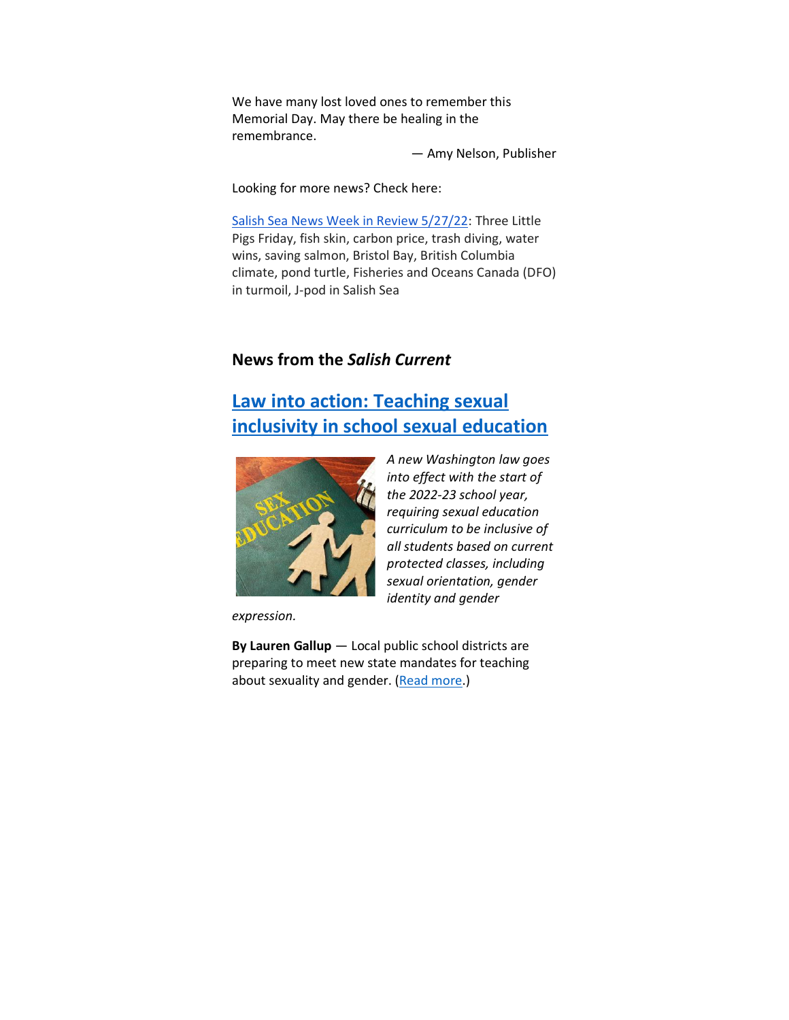We have many lost loved ones to remember this Memorial Day. May there be healing in the remembrance.

— Amy Nelson, Publisher

*A new Washington law goes into effect with the start of the 2022-23 school year, requiring sexual education curriculum to be inclusive of all students based on current protected classes, including sexual orientation, gender* 

*identity and gender* 

Looking for more news? Check here:

[Salish Sea News Week in Review 5/27/22:](https://bit.ly/3t0pKAH) Three Little Pigs Friday, fish skin, carbon price, trash diving, water wins, saving salmon, Bristol Bay, British Columbia climate, pond turtle, Fisheries and Oceans Canada (DFO) in turmoil, J-pod in Salish Sea

# **News from the** *Salish Current*

# **[Law into action: Teaching sexual](https://salish-current.org/2022/05/26/law-into-action-teaching-sexual-inclusivity-in-school-sexual-education/)  [inclusivity in school sexual education](https://salish-current.org/2022/05/26/law-into-action-teaching-sexual-inclusivity-in-school-sexual-education/)**



*expression.*

**By Lauren Gallup** — Local public school districts are preparing to meet new state mandates for teaching about sexuality and gender. [\(Read more.](https://salish-current.org/2022/05/26/law-into-action-teaching-sexual-inclusivity-in-school-sexual-education/))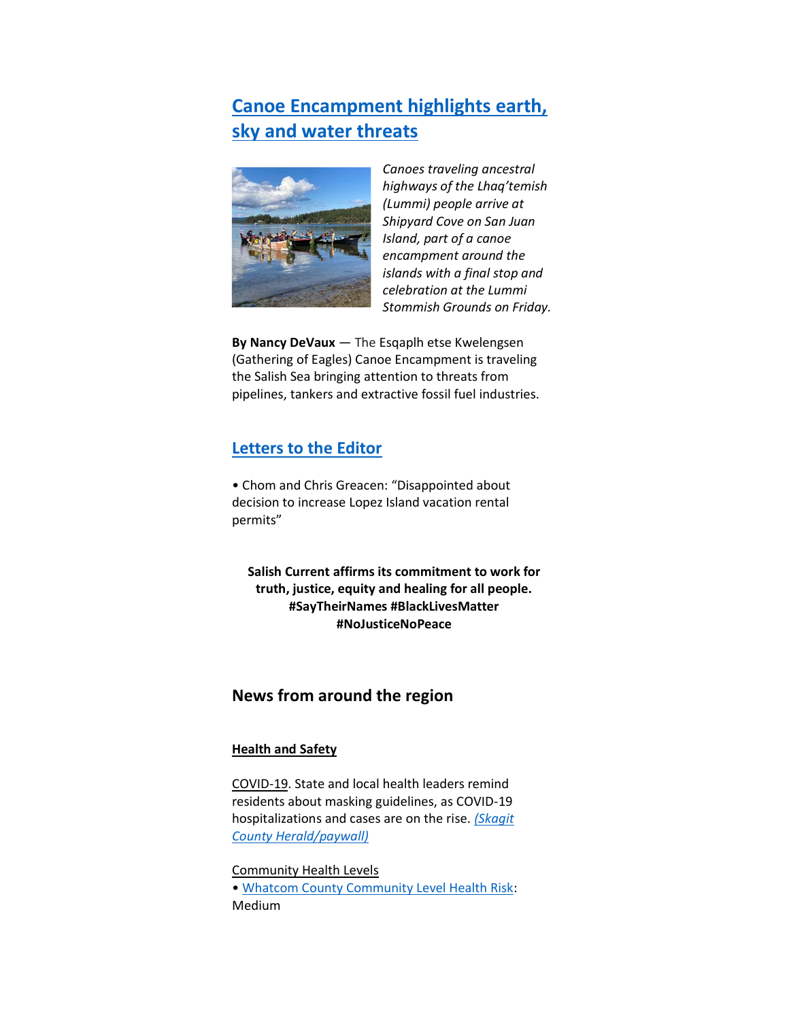# **[Canoe Encampment highlights earth,](https://salish-current.org/2022/05/25/canoe-encampment-highlights-earth-sky-water-threats/)  sky and [water threats](https://salish-current.org/2022/05/25/canoe-encampment-highlights-earth-sky-water-threats/)**



*Canoes traveling ancestral highways of the Lhaq'temish (Lummi) people arrive at Shipyard Cove on San Juan Island, part of a canoe encampment around the islands with a final stop and celebration at the Lummi Stommish Grounds on Friday.*

**By Nancy DeVaux** — The Esqaplh etse Kwelengsen (Gathering of Eagles) Canoe Encampment is traveling the Salish Sea bringing attention to threats from pipelines, tankers and extractive fossil fuel industries.

# **[Letters to the Editor](https://salish-current.org/letters-to-the-editor/)**

• Chom and Chris Greacen: "Disappointed about decision to increase Lopez Island vacation rental permits"

**Salish Current affirms its commitment to work for truth, justice, equity and healing for all people. #SayTheirNames #BlackLivesMatter #NoJusticeNoPeace**

# **News from around the region**

## **Health and Safety**

COVID-19. State and local health leaders remind residents about masking guidelines, as COVID-19 hospitalizations and cases are on the rise. *[\(Skagit](https://www.goskagit.com/news/covid19/rise-in-covid-19-cases-has-health-leaders-urging-masking/article_59fd8813-9cc3-520d-95da-82f3b19c589a.html)  [County Herald/paywall\)](https://www.goskagit.com/news/covid19/rise-in-covid-19-cases-has-health-leaders-urging-masking/article_59fd8813-9cc3-520d-95da-82f3b19c589a.html)*

Community Health Levels • [Whatcom County Community Level Health Risk:](https://covidactnow.org/us/washington-wa/county/whatcom_county/?s=32682088) Medium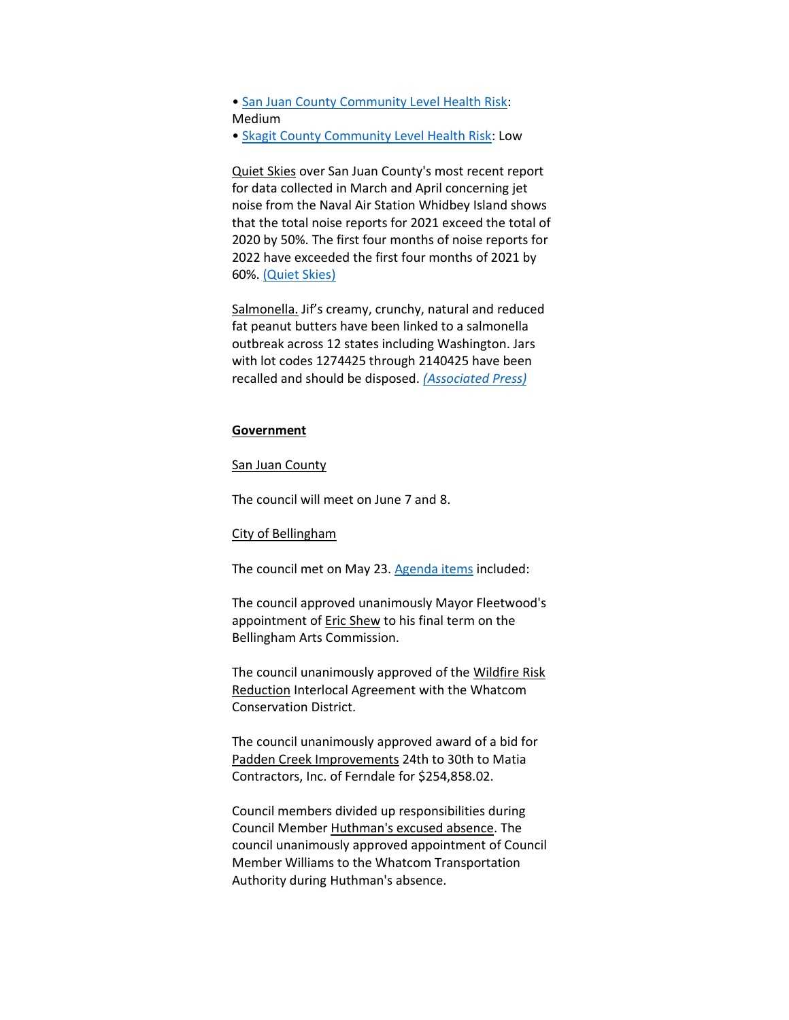• [San Juan County Community Level Health Risk:](https://covidactnow.org/us/washington-wa/county/san_juan_county/?s=32682088) Medium

• [Skagit County Community Level Health Risk:](https://covidactnow.org/us/washington-wa/county/skagit_county/?s=32682088) Low

Quiet Skies over San Juan County's most recent report for data collected in March and April concerning jet noise from the Naval Air Station Whidbey Island shows that the total noise reports for 2021 exceed the total of 2020 by 50%. The first four months of noise reports for 2022 have exceeded the first four months of 2021 by 60%. [\(Quiet Skies\)](https://www.quietskies.info/_files/ugd/f9226a_b188f966a2c9485cb7ebcf3dea9be542.pdf)

Salmonella. Jif's creamy, crunchy, natural and reduced fat peanut butters have been linked to a salmonella outbreak across 12 states including Washington. Jars with lot codes 1274425 through 2140425 have been recalled and should be disposed. *[\(Associated Press\)](https://apnews.com/article/health-centers-for-disease-control-and-prevention-government-politics-24018c58bb8ab127e6cfa708c2117e76)*

#### **Government**

#### San Juan County

The council will meet on June 7 and 8.

#### City of Bellingham

The council met on May 23. [Agenda items](https://meetings.cob.org/Meetings/ViewMeeting?id=2684&doctype=3) included:

The council approved unanimously Mayor Fleetwood's appointment of Eric Shew to his final term on the Bellingham Arts Commission.

The council unanimously approved of the Wildfire Risk Reduction Interlocal Agreement with the Whatcom Conservation District.

The council unanimously approved award of a bid for Padden Creek Improvements 24th to 30th to Matia Contractors, Inc. of Ferndale for \$254,858.02.

Council members divided up responsibilities during Council Member Huthman's excused absence. The council unanimously approved appointment of Council Member Williams to the Whatcom Transportation Authority during Huthman's absence.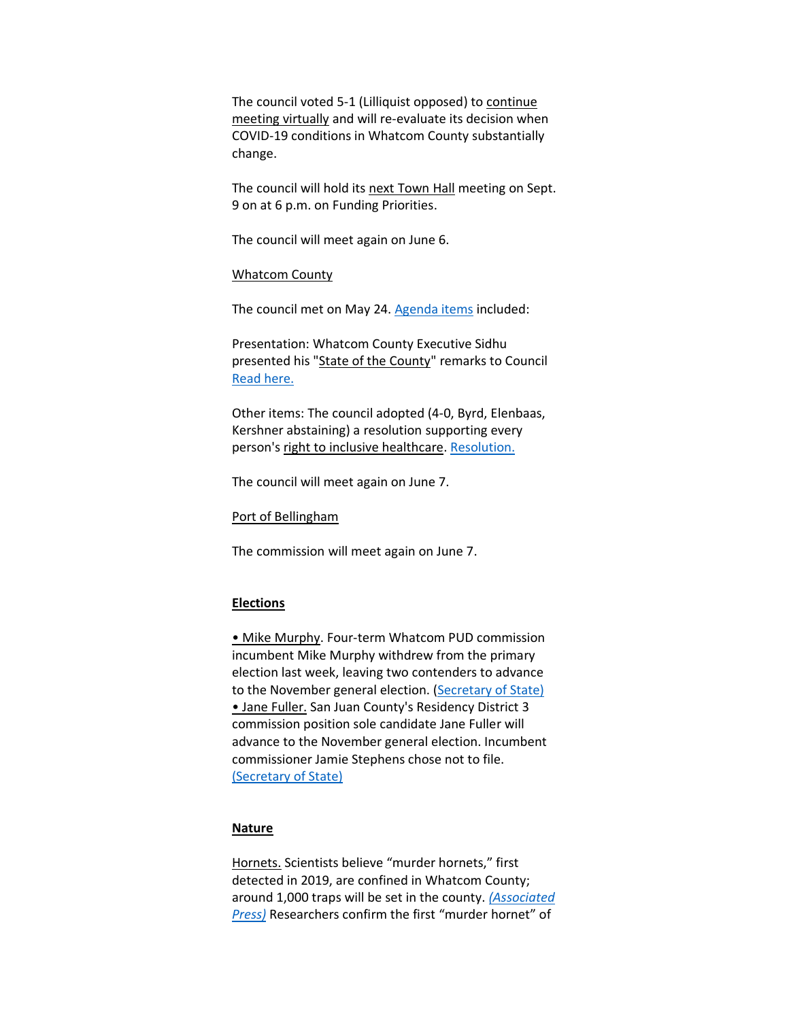The council voted 5-1 (Lilliquist opposed) to continue meeting virtually and will re-evaluate its decision when COVID-19 conditions in Whatcom County substantially change.

The council will hold its next Town Hall meeting on Sept. 9 on at 6 p.m. on Funding Priorities.

The council will meet again on June 6.

#### Whatcom County

The council met on May 24. [Agenda items](https://whatcom.legistar.com/View.ashx?M=E2&ID=899900&GUID=19AF2DEF-DC96-49F6-992D-39145F3B3688) included:

Presentation: Whatcom County Executive Sidhu presented his "State of the County" remarks to Council [Read here.](https://whatcom.legistar.com/View.ashx?M=F&ID=10917261&GUID=D0A4D6C2-F2DA-4CDA-9D30-6CBF137EAA58)

Other items: The council adopted (4-0, Byrd, Elenbaas, Kershner abstaining) a resolution supporting every person's right to inclusive healthcare[. Resolution.](https://whatcom.legistar.com/View.ashx?M=F&ID=10916577&GUID=8A47D759-B105-4275-A8F2-332109EA77C2)

The council will meet again on June 7.

Port of Bellingham

The commission will meet again on June 7.

## **Elections**

• Mike Murphy. Four-term Whatcom PUD commission incumbent Mike Murphy withdrew from the primary election last week, leaving two contenders to advance to the November general election. [\(Secretary of State\)](https://voter.votewa.gov/CandidateList.aspx?e=876&c=37) • Jane Fuller. San Juan County's Residency District 3 commission position sole candidate Jane Fuller will advance to the November general election. Incumbent commissioner Jamie Stephens chose not to file. [\(Secretary of State\)](https://voter.votewa.gov/CandidateList.aspx?e=876&c=28)

### **Nature**

Hornets. Scientists believe "murder hornets," first detected in 2019, are confined in Whatcom County; around 1,000 traps will be set in the county. *[\(Associated](https://www.knkx.org/environment/2022-05-24/scientists-will-set-1-000-traps-for-murder-hornets-this-year)  [Press\)](https://www.knkx.org/environment/2022-05-24/scientists-will-set-1-000-traps-for-murder-hornets-this-year)* Researchers confirm the first "murder hornet" of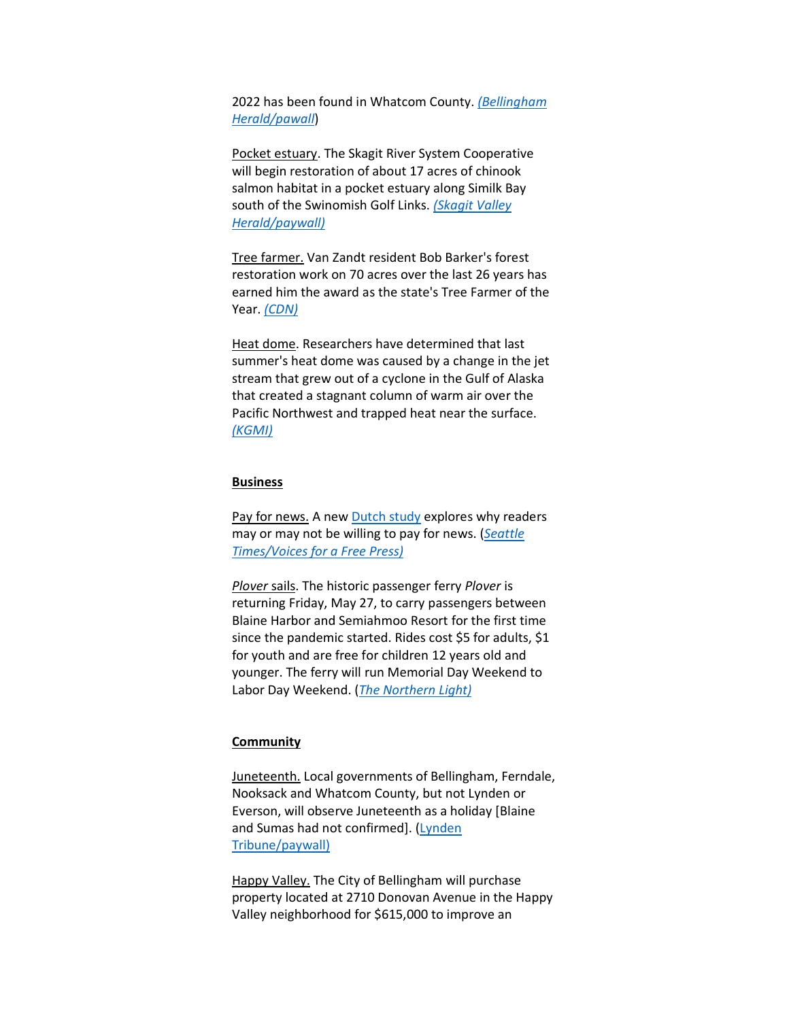2022 has been found in Whatcom County. *[\(Bellingham](https://www.bellinghamherald.com/news/local/article261749842.html)  [Herald/pawall](https://www.bellinghamherald.com/news/local/article261749842.html)*)

Pocket estuary. The Skagit River System Cooperative will begin restoration of about 17 acres of chinook salmon habitat in a pocket estuary along Similk Bay south of the Swinomish Golf Links. *[\(Skagit Valley](https://www.goskagit.com/news/environment/salmon-habitat-project-will-also-bring-improvements-to-county-road/article_30be3c77-efac-5d98-b496-34ac6b293f05.html)  [Herald/paywall\)](https://www.goskagit.com/news/environment/salmon-habitat-project-will-also-bring-improvements-to-county-road/article_30be3c77-efac-5d98-b496-34ac6b293f05.html)*

Tree farmer. Van Zandt resident Bob Barker's forest restoration work on 70 acres over the last 26 years has earned him the award as the state's Tree Farmer of the Year. *[\(CDN\)](https://www.cascadiadaily.com/news/2022/may/26/local-forester-wins-state-tree-farmer-of-the-year-award/)*

Heat dome. Researchers have determined that last summer's heat dome was caused by a change in the jet stream that grew out of a cyclone in the Gulf of Alaska that created a stagnant column of warm air over the Pacific Northwest and trapped heat near the surface. *[\(KGMI\)](https://kgmi.com/news/007700-new-study-pinpoints-primary-cause-of-deadly-pnw-heatwave/)*

#### **Business**

Pay for news. A new [Dutch study](https://journals.sagepub.com/doi/pdf/10.1177/14648849221099325) explores why readers may or may not be willing to pay for news. (*[Seattle](https://view.email.seattletimes.com/?qs=d0e1657f9c0d2fb6d6f64799ab28bec34073caa899dcb9825e28d65395c4243a1cdfab1942534a7170ad8c03aa7d4b8140a857c315a2f6443dcd55d1174f4957dd014d9835aaa616)  [Times/Voices for a Free Press\)](https://view.email.seattletimes.com/?qs=d0e1657f9c0d2fb6d6f64799ab28bec34073caa899dcb9825e28d65395c4243a1cdfab1942534a7170ad8c03aa7d4b8140a857c315a2f6443dcd55d1174f4957dd014d9835aaa616)*

*Plover* sails. The historic passenger ferry *Plover* is returning Friday, May 27, to carry passengers between Blaine Harbor and Semiahmoo Resort for the first time since the pandemic started. Rides cost \$5 for adults, \$1 for youth and are free for children 12 years old and younger. The ferry will run Memorial Day Weekend to Labor Day Weekend. (*[The Northern Light\)](https://www.thenorthernlight.com/stories/plover-summer-ferry-trips-begin-friday,20063?)*

# **Community**

Juneteenth. Local governments of Bellingham, Ferndale, Nooksack and Whatcom County, but not Lynden or Everson, will observe Juneteenth as a holiday [Blaine and Sumas had not confirmed]. [\(Lynden](https://www.lyndentribune.com/news/lynden-has-not-adopted-juneteenth-yet/article_2038566c-dc33-11ec-a2f4-177b2ac00ba7.html)  [Tribune/paywall\)](https://www.lyndentribune.com/news/lynden-has-not-adopted-juneteenth-yet/article_2038566c-dc33-11ec-a2f4-177b2ac00ba7.html)

Happy Valley. The City of Bellingham will purchase property located at 2710 Donovan Avenue in the Happy Valley neighborhood for \$615,000 to improve an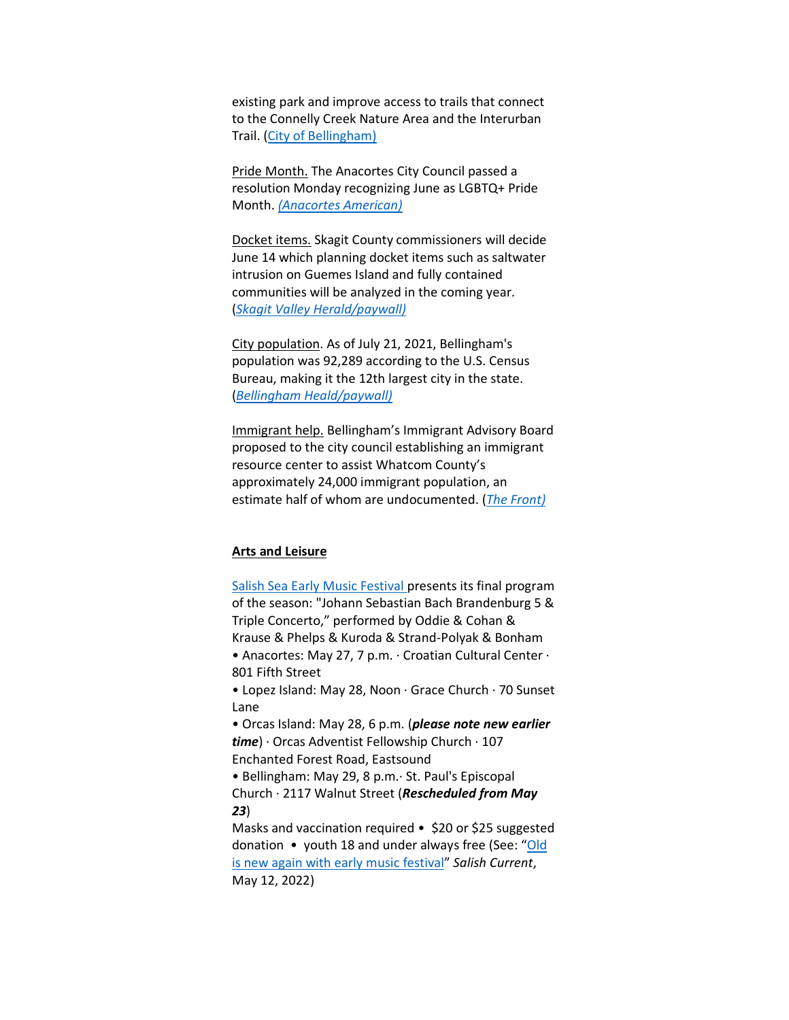existing park and improve access to trails that connect to the Connelly Creek Nature Area and the Interurban Trail. [\(City of Bellingham\)](https://cob.org/news/2022/city-acquires-property-to-expand-happy-valley-neighborhood-park)

Pride Month. The Anacortes City Council passed a resolution Monday recognizing June as LGBTQ+ Pride Month. *[\(Anacortes American\)](https://www.goskagit.com/anacortes/news/city-of-anacortes-passes-resolution-to-name-june-as-lgbtq-pride-month/article_d92c2b66-dba3-11ec-8f7f-4374dc382117.html)*

Docket items. Skagit County commissioners will decide June 14 which planning docket items such as saltwater intrusion on Guemes Island and fully contained communities will be analyzed in the coming year. (*[Skagit Valley Herald/paywall\)](https://www.goskagit.com/news/local_news/skagit-county-board-of-commissioners-hears-from-comp-plan-petitioners/article_e1f1608f-0579-57d0-a2be-e54a30f3fa93.html)*

City population. As of July 21, 2021, Bellingham's population was 92,289 according to the U.S. Census Bureau, making it the 12th largest city in the state. (*[Bellingham Heald/paywall\)](https://www.bellinghamherald.com/news/local/article261793112.html)*

Immigrant help. Bellingham's Immigrant Advisory Board proposed to the city council establishing an immigrant resource center to assist Whatcom County's approximately 24,000 immigrant population, an estimate half of whom are undocumented. (*[The Front\)](https://www.westernfrontonline.com/article/2022/05/bellingham-city-council-hears-proposal-for-constructing-an-immigrant-resource-center)*

## **Arts and Leisure**

[Salish Sea Early Music Festival](http://salishseafestival.org/) presents its final program of the season: "Johann Sebastian Bach Brandenburg 5 & Triple Concerto," performed by Oddie & Cohan & Krause & Phelps & Kuroda & Strand-Polyak & Bonham • Anacortes: May 27, 7 p.m. · Croatian Cultural Center · 801 Fifth Street

• Lopez Island: May 28, Noon · Grace Church · 70 Sunset Lane

• Orcas Island: May 28, 6 p.m. (*please note new earlier time*) · Orcas Adventist Fellowship Church · 107 Enchanted Forest Road, Eastsound

• Bellingham: May 29, 8 p.m.· St. Paul's Episcopal Church · 2117 Walnut Street (*Rescheduled from May 23*)

Masks and vaccination required • \$20 or \$25 suggested donation • youth 18 and under always free (See: "[Old](https://salish-current.org/2022/05/13/old-is-new-again-with-early-music-festival/)  [is new again with early music](https://salish-current.org/2022/05/13/old-is-new-again-with-early-music-festival/) festival" *Salish Current*, May 12, 2022)